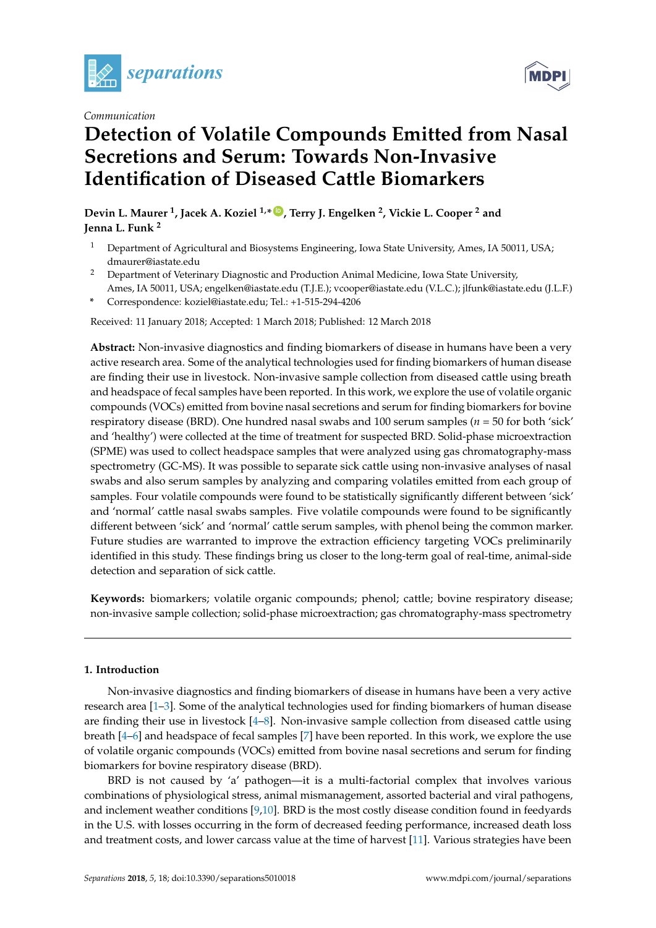

*Communication*



# **Detection of Volatile Compounds Emitted from Nasal Secretions and Serum: Towards Non-Invasive Identification of Diseased Cattle Biomarkers**

**Devin L. Maurer <sup>1</sup> , Jacek A. Koziel 1,\* [ID](https://orcid.org/0000-0002-2387-0354) , Terry J. Engelken <sup>2</sup> , Vickie L. Cooper <sup>2</sup> and Jenna L. Funk <sup>2</sup>**

- <sup>1</sup> Department of Agricultural and Biosystems Engineering, Iowa State University, Ames, IA 50011, USA; dmaurer@iastate.edu
- <sup>2</sup> Department of Veterinary Diagnostic and Production Animal Medicine, Iowa State University, Ames, IA 50011, USA; engelken@iastate.edu (T.J.E.); vcooper@iastate.edu (V.L.C.); jlfunk@iastate.edu (J.L.F.)
- **\*** Correspondence: koziel@iastate.edu; Tel.: +1-515-294-4206

Received: 11 January 2018; Accepted: 1 March 2018; Published: 12 March 2018

**Abstract:** Non-invasive diagnostics and finding biomarkers of disease in humans have been a very active research area. Some of the analytical technologies used for finding biomarkers of human disease are finding their use in livestock. Non-invasive sample collection from diseased cattle using breath and headspace of fecal samples have been reported. In this work, we explore the use of volatile organic compounds (VOCs) emitted from bovine nasal secretions and serum for finding biomarkers for bovine respiratory disease (BRD). One hundred nasal swabs and 100 serum samples (*n* = 50 for both 'sick' and 'healthy') were collected at the time of treatment for suspected BRD. Solid-phase microextraction (SPME) was used to collect headspace samples that were analyzed using gas chromatography-mass spectrometry (GC-MS). It was possible to separate sick cattle using non-invasive analyses of nasal swabs and also serum samples by analyzing and comparing volatiles emitted from each group of samples. Four volatile compounds were found to be statistically significantly different between 'sick' and 'normal' cattle nasal swabs samples. Five volatile compounds were found to be significantly different between 'sick' and 'normal' cattle serum samples, with phenol being the common marker. Future studies are warranted to improve the extraction efficiency targeting VOCs preliminarily identified in this study. These findings bring us closer to the long-term goal of real-time, animal-side detection and separation of sick cattle.

**Keywords:** biomarkers; volatile organic compounds; phenol; cattle; bovine respiratory disease; non-invasive sample collection; solid-phase microextraction; gas chromatography-mass spectrometry

# **1. Introduction**

Non-invasive diagnostics and finding biomarkers of disease in humans have been a very active research area [\[1](#page-6-0)[–3\]](#page-6-1). Some of the analytical technologies used for finding biomarkers of human disease are finding their use in livestock [\[4](#page-6-2)[–8\]](#page-6-3). Non-invasive sample collection from diseased cattle using breath [\[4–](#page-6-2)[6\]](#page-6-4) and headspace of fecal samples [\[7\]](#page-6-5) have been reported. In this work, we explore the use of volatile organic compounds (VOCs) emitted from bovine nasal secretions and serum for finding biomarkers for bovine respiratory disease (BRD).

BRD is not caused by 'a' pathogen—it is a multi-factorial complex that involves various combinations of physiological stress, animal mismanagement, assorted bacterial and viral pathogens, and inclement weather conditions [\[9,](#page-6-6)[10\]](#page-6-7). BRD is the most costly disease condition found in feedyards in the U.S. with losses occurring in the form of decreased feeding performance, increased death loss and treatment costs, and lower carcass value at the time of harvest [\[11\]](#page-6-8). Various strategies have been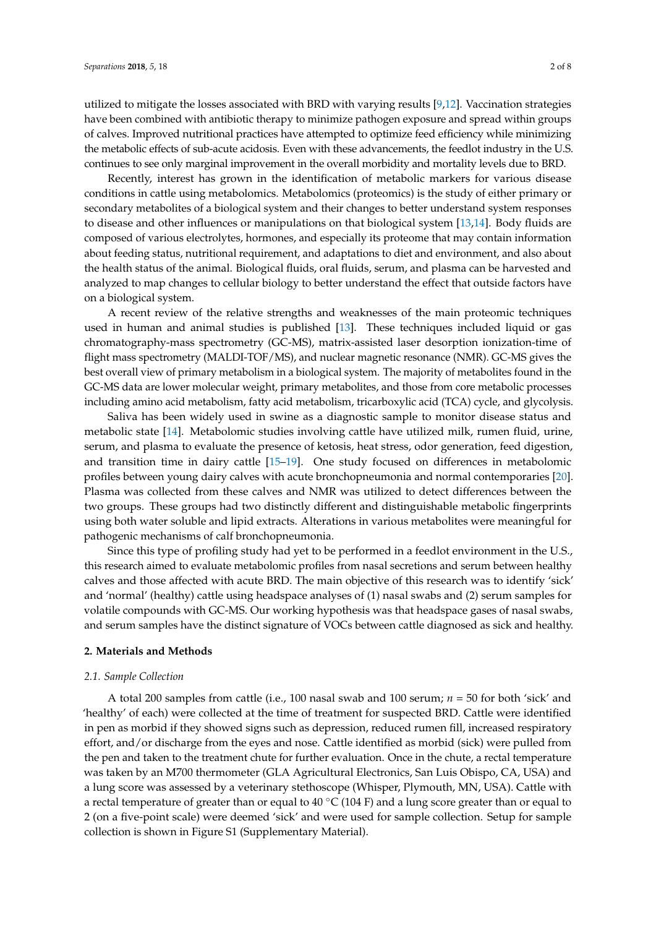utilized to mitigate the losses associated with BRD with varying results [\[9](#page-6-6)[,12\]](#page-6-9). Vaccination strategies have been combined with antibiotic therapy to minimize pathogen exposure and spread within groups of calves. Improved nutritional practices have attempted to optimize feed efficiency while minimizing the metabolic effects of sub-acute acidosis. Even with these advancements, the feedlot industry in the U.S. continues to see only marginal improvement in the overall morbidity and mortality levels due to BRD.

Recently, interest has grown in the identification of metabolic markers for various disease conditions in cattle using metabolomics. Metabolomics (proteomics) is the study of either primary or secondary metabolites of a biological system and their changes to better understand system responses to disease and other influences or manipulations on that biological system [\[13,](#page-6-10)[14\]](#page-6-11). Body fluids are composed of various electrolytes, hormones, and especially its proteome that may contain information about feeding status, nutritional requirement, and adaptations to diet and environment, and also about the health status of the animal. Biological fluids, oral fluids, serum, and plasma can be harvested and analyzed to map changes to cellular biology to better understand the effect that outside factors have on a biological system.

A recent review of the relative strengths and weaknesses of the main proteomic techniques used in human and animal studies is published [\[13\]](#page-6-10). These techniques included liquid or gas chromatography-mass spectrometry (GC-MS), matrix-assisted laser desorption ionization-time of flight mass spectrometry (MALDI-TOF/MS), and nuclear magnetic resonance (NMR). GC-MS gives the best overall view of primary metabolism in a biological system. The majority of metabolites found in the GC-MS data are lower molecular weight, primary metabolites, and those from core metabolic processes including amino acid metabolism, fatty acid metabolism, tricarboxylic acid (TCA) cycle, and glycolysis.

Saliva has been widely used in swine as a diagnostic sample to monitor disease status and metabolic state [\[14\]](#page-6-11). Metabolomic studies involving cattle have utilized milk, rumen fluid, urine, serum, and plasma to evaluate the presence of ketosis, heat stress, odor generation, feed digestion, and transition time in dairy cattle [\[15](#page-6-12)[–19\]](#page-7-0). One study focused on differences in metabolomic profiles between young dairy calves with acute bronchopneumonia and normal contemporaries [\[20\]](#page-7-1). Plasma was collected from these calves and NMR was utilized to detect differences between the two groups. These groups had two distinctly different and distinguishable metabolic fingerprints using both water soluble and lipid extracts. Alterations in various metabolites were meaningful for pathogenic mechanisms of calf bronchopneumonia.

Since this type of profiling study had yet to be performed in a feedlot environment in the U.S., this research aimed to evaluate metabolomic profiles from nasal secretions and serum between healthy calves and those affected with acute BRD. The main objective of this research was to identify 'sick' and 'normal' (healthy) cattle using headspace analyses of (1) nasal swabs and (2) serum samples for volatile compounds with GC-MS. Our working hypothesis was that headspace gases of nasal swabs, and serum samples have the distinct signature of VOCs between cattle diagnosed as sick and healthy.

#### **2. Materials and Methods**

#### *2.1. Sample Collection*

A total 200 samples from cattle (i.e., 100 nasal swab and 100 serum; *n* = 50 for both 'sick' and 'healthy' of each) were collected at the time of treatment for suspected BRD. Cattle were identified in pen as morbid if they showed signs such as depression, reduced rumen fill, increased respiratory effort, and/or discharge from the eyes and nose. Cattle identified as morbid (sick) were pulled from the pen and taken to the treatment chute for further evaluation. Once in the chute, a rectal temperature was taken by an M700 thermometer (GLA Agricultural Electronics, San Luis Obispo, CA, USA) and a lung score was assessed by a veterinary stethoscope (Whisper, Plymouth, MN, USA). Cattle with a rectal temperature of greater than or equal to 40  $\degree$ C (104 F) and a lung score greater than or equal to 2 (on a five-point scale) were deemed 'sick' and were used for sample collection. Setup for sample collection is shown in Figure S1 (Supplementary Material).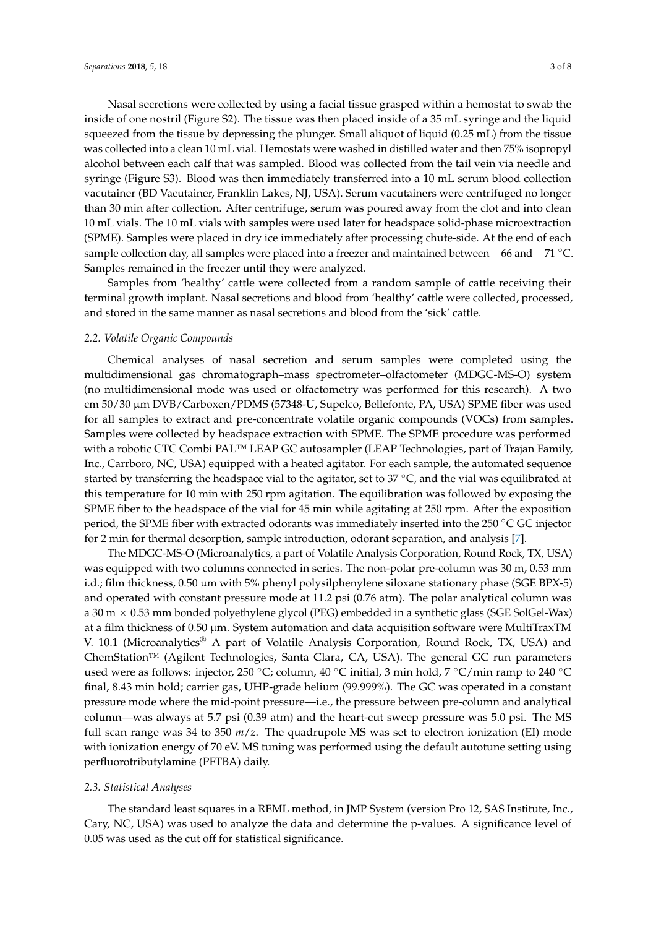Nasal secretions were collected by using a facial tissue grasped within a hemostat to swab the inside of one nostril (Figure S2). The tissue was then placed inside of a 35 mL syringe and the liquid squeezed from the tissue by depressing the plunger. Small aliquot of liquid (0.25 mL) from the tissue was collected into a clean 10 mL vial. Hemostats were washed in distilled water and then 75% isopropyl alcohol between each calf that was sampled. Blood was collected from the tail vein via needle and syringe (Figure S3). Blood was then immediately transferred into a 10 mL serum blood collection vacutainer (BD Vacutainer, Franklin Lakes, NJ, USA). Serum vacutainers were centrifuged no longer than 30 min after collection. After centrifuge, serum was poured away from the clot and into clean 10 mL vials. The 10 mL vials with samples were used later for headspace solid-phase microextraction (SPME). Samples were placed in dry ice immediately after processing chute-side. At the end of each sample collection day, all samples were placed into a freezer and maintained between −66 and −71 °C. Samples remained in the freezer until they were analyzed.

Samples from 'healthy' cattle were collected from a random sample of cattle receiving their terminal growth implant. Nasal secretions and blood from 'healthy' cattle were collected, processed, and stored in the same manner as nasal secretions and blood from the 'sick' cattle.

#### *2.2. Volatile Organic Compounds*

Chemical analyses of nasal secretion and serum samples were completed using the multidimensional gas chromatograph–mass spectrometer–olfactometer (MDGC-MS-O) system (no multidimensional mode was used or olfactometry was performed for this research). A two cm 50/30 µm DVB/Carboxen/PDMS (57348-U, Supelco, Bellefonte, PA, USA) SPME fiber was used for all samples to extract and pre-concentrate volatile organic compounds (VOCs) from samples. Samples were collected by headspace extraction with SPME. The SPME procedure was performed with a robotic CTC Combi PAL™ LEAP GC autosampler (LEAP Technologies, part of Trajan Family, Inc., Carrboro, NC, USA) equipped with a heated agitator. For each sample, the automated sequence started by transferring the headspace vial to the agitator, set to 37 ◦C, and the vial was equilibrated at this temperature for 10 min with 250 rpm agitation. The equilibration was followed by exposing the SPME fiber to the headspace of the vial for 45 min while agitating at 250 rpm. After the exposition period, the SPME fiber with extracted odorants was immediately inserted into the 250 ◦C GC injector for 2 min for thermal desorption, sample introduction, odorant separation, and analysis [\[7\]](#page-6-5).

The MDGC-MS-O (Microanalytics, a part of Volatile Analysis Corporation, Round Rock, TX, USA) was equipped with two columns connected in series. The non-polar pre-column was 30 m, 0.53 mm i.d.; film thickness, 0.50 µm with 5% phenyl polysilphenylene siloxane stationary phase (SGE BPX-5) and operated with constant pressure mode at 11.2 psi (0.76 atm). The polar analytical column was a 30 m × 0.53 mm bonded polyethylene glycol (PEG) embedded in a synthetic glass (SGE SolGel-Wax) at a film thickness of 0.50 µm. System automation and data acquisition software were MultiTraxTM V. 10.1 (Microanalytics® A part of Volatile Analysis Corporation, Round Rock, TX, USA) and ChemStation™ (Agilent Technologies, Santa Clara, CA, USA). The general GC run parameters used were as follows: injector, 250 ◦C; column, 40 ◦C initial, 3 min hold, 7 ◦C/min ramp to 240 ◦C final, 8.43 min hold; carrier gas, UHP-grade helium (99.999%). The GC was operated in a constant pressure mode where the mid-point pressure—i.e., the pressure between pre-column and analytical column—was always at 5.7 psi (0.39 atm) and the heart-cut sweep pressure was 5.0 psi. The MS full scan range was 34 to 350 *m*/*z*. The quadrupole MS was set to electron ionization (EI) mode with ionization energy of 70 eV. MS tuning was performed using the default autotune setting using perfluorotributylamine (PFTBA) daily.

# *2.3. Statistical Analyses*

The standard least squares in a REML method, in JMP System (version Pro 12, SAS Institute, Inc., Cary, NC, USA) was used to analyze the data and determine the p-values. A significance level of 0.05 was used as the cut off for statistical significance.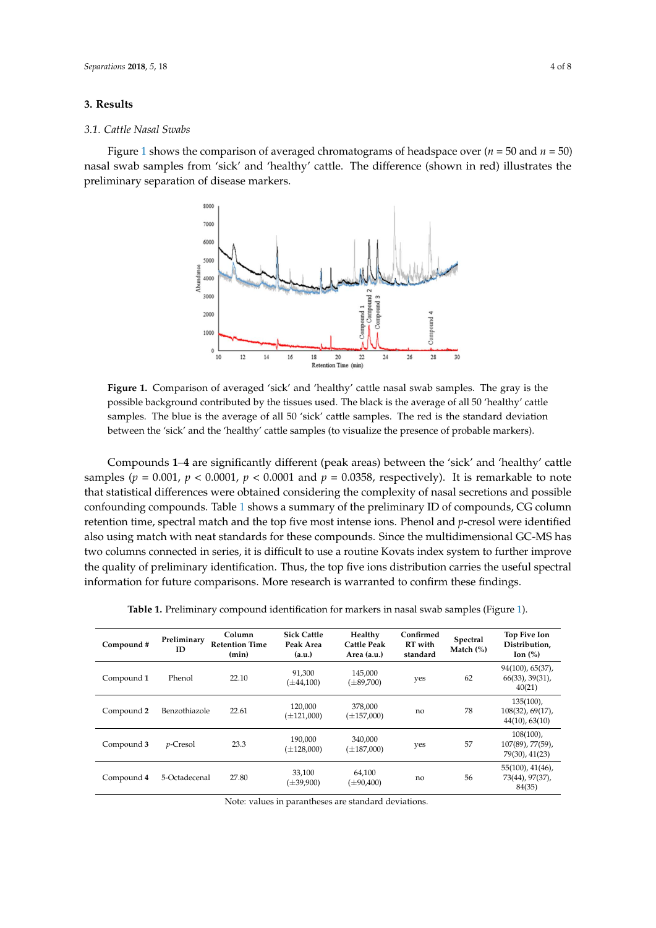#### **3. Results**

#### *3.1. Cattle Nasal Swabs* **3. Results**

<span id="page-3-0"></span>Figure [1](#page-3-0) shows the comparison of averaged chromatograms of headspace over ( $n = 50$  and  $n = 50$ ) nasal swab samples from 'sick' and 'healthy' cattle. The difference (shown in red) illustrates the preliminary separation of disease markers. preliminary separation of disease markers. 50) nasal swab samples from 'sick' and 'healthy' cattle. The difference (shown in red) illustrates the



**Figure 1.** Comparison of averaged 'sick' and 'healthy' cattle nasal swab samples. The gray is the **Figure 1.** Comparison of averaged 'sick' and 'healthy' cattle nasal swab samples. The gray is the possible background contributed by the tissues used. The black is the average of all 50 'healthy' cattle possible background contributed by the tissues used. The black is the average of all 50 'healthy' cattle  $\mathbb{E}$  samples. The blue is the average of all  $\mathbb{E}0$  (city) cattle samples. The red is the standard deviation samples. The blue is the average of all 50 'sick' cattle samples. The red is the standard deviation between the 'sick' and the 'healthy' cattle samples (to visualize the presence of probable markers).

samples (*p* = 0.001, *p* < 0.0001, *p* < 0.0001 and *p* = 0.0358, respectively). It is remarkable to note that Compounds <mark>1–4</mark> are significantly different (peak areas) between the 'sick' and 'healthy' cattle samples ( $p = 0.001$ ,  $p < 0.0001$ ,  $p < 0.0001$  and  $p = 0.0358$ , respectively). It is remarkable to note that statistical differences were obtained considering the complexity of nasal secretions and possible confounding compounds. Table [1](#page-3-1) shows a summary of the preliminary ID of compounds, CG column  $t_{\text{ref}}$  connected in series, it is different to use a routine Kovats index system to function to further improvement to function  $\mathbb{R}^n$ retention time, spectral match and the top five most intense ions. Phenol and *p*-cresol were identified also using match with neat standards for these compounds. Since the multidimensional GC-MS has the quality of preliminary identification. Thus, the top five ions distribution carries the useful spectral **n** for future comparisons. More resear **Cattle Healthy**  information for future comparisons. More research is warranted to confirm these findings. two columns connected in series, it is difficult to use a routine Kovats index system to further improve

| Table 1. Preliminary compound identification for markers in nasal swab samples (Figure 1). |  |  |
|--------------------------------------------------------------------------------------------|--|--|
|                                                                                            |  |  |

<span id="page-3-1"></span>

| Compound#  | Preliminary<br>ID | Column<br><b>Retention Time</b><br>(min) | <b>Sick Cattle</b><br>Peak Area<br>(a.u.) | Healthy<br>Cattle Peak<br>Area (a.u.) | Confirmed<br>RT with<br>standard | Spectral<br>Match $(\%)$ | Top Five Ion<br>Distribution,<br>Ion $(\%)$               |
|------------|-------------------|------------------------------------------|-------------------------------------------|---------------------------------------|----------------------------------|--------------------------|-----------------------------------------------------------|
| Compound 1 | Phenol            | 22.10                                    | 91,300<br>$(\pm 44, 100)$                 | 145,000<br>$(\pm 89,700)$             | yes                              | 62                       | 94(100), 65(37),<br>$66(33)$ , $39(31)$ ,<br>40(21)       |
| Compound 2 | Benzothiazole     | 22.61                                    | 120,000<br>$(\pm 121,000)$                | 378,000<br>$(\pm 157,000)$            | no                               | 78                       | $135(100)$ ,<br>$108(32)$ , 69(17),<br>44(10), 63(10)     |
| Compound 3 | $p$ -Cresol       | 23.3                                     | 190.000<br>$(\pm 128,000)$                | 340,000<br>$(\pm 187,000)$            | yes                              | 57                       | $108(100)$ ,<br>$107(89)$ , 77 $(59)$ ,<br>79(30), 41(23) |
| Compound 4 | 5-Octadecenal     | 27.80                                    | 33.100<br>$(\pm 39,900)$                  | 64,100<br>$(\pm 90,400)$              | no                               | 56                       | $55(100)$ , $41(46)$ ,<br>73(44), 97(37),<br>84(35)       |

Note: values in parantheses are standard deviations.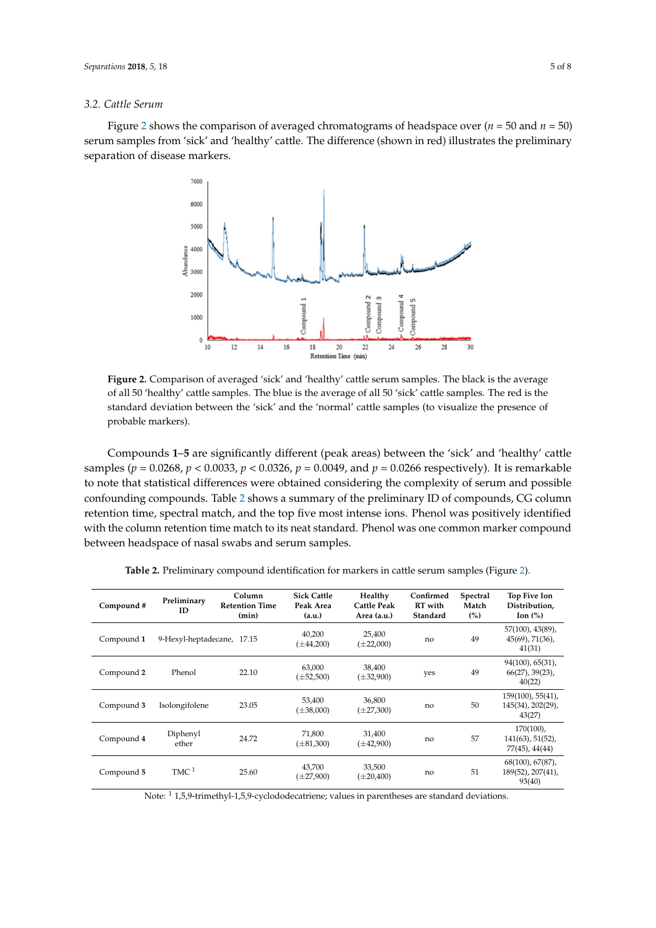#### *3.2. Cattle Serum*

<span id="page-4-0"></span>Figure [2](#page-4-0) shows the comparison of averaged chromatograms of headspace over ( $n = 50$  and  $n = 50$ ) serum samples from 'sick' and 'healthy' cattle. The difference (shown in red) illustrates the preliminary separation of disease markers. spress from sick and 'healthy' cattle. The difference (shown in red) indicatates the  $\gamma$ 



**Figure 2.** Comparison of averaged 'sick' and 'healthy' cattle serum samples. The black is the average **Figure 2.** Comparison of averaged 'sick' and 'healthy' cattle serum samples. The black is the average of all 50 'healthy' cattle samples. The blue is the average of all 50 'sick' cattle samples. The red is the of all 50 'healthy' cattle samples. The blue is the average of all 50 'sick' cattle samples. The red is the standard deviation between the 'sick' and the 'normal' cattle samples (to visualize the presence of probable markers). probable markers).

Compounds 1–5 are significantly different (peak areas) between the 'sick' and 'healthy' cattle pour statistical differences were obtained considered consideration of services were obtained to the complexity of services of services of services of services of services of services of services of services of services of samples ( $p = 0.0268$ ,  $p < 0.0033$ ,  $p < 0.0326$ ,  $p = 0.0049$ , and  $p = 0.0266$  respectively). It is remarkable to note that statistical differences were obtained considering the complexity of serum and possible confounding compounds. Table 2 shows a summary of the preliminary ID of compounds, CG column retention time, spectral match, and the top five most intense ions. Phenol was positively identified with the column retention time match to its neat standard. Phenol was one common marker compound between headspace of nasal swabs and serum samples.

<span id="page-4-1"></span>

| Compound#  | Preliminary<br>ID          | Column<br><b>Retention Time</b><br>(min) | <b>Sick Cattle</b><br>Peak Area<br>(a.u.) | Healthy<br><b>Cattle Peak</b><br>Area (a.u.) | Confirmed<br><b>RT</b> with<br>Standard | Spectral<br>Match<br>(%) | Top Five Ion<br>Distribution,<br>Ion $(\%)$            |
|------------|----------------------------|------------------------------------------|-------------------------------------------|----------------------------------------------|-----------------------------------------|--------------------------|--------------------------------------------------------|
| Compound 1 | 9-Hexyl-heptadecane, 17.15 |                                          | 40,200<br>$(\pm 44, 200)$                 | 25,400<br>$(\pm 22,000)$                     | no                                      | 49                       | 57(100), 43(89),<br>$45(69)$ , $71(36)$ ,<br>41(31)    |
| Compound 2 | Phenol                     | 22.10                                    | 63,000<br>$(\pm 52,500)$                  | 38,400<br>$(\pm 32,900)$                     | yes                                     | 49                       | 94(100), 65(31),<br>$66(27)$ , 39 $(23)$ ,<br>40(22)   |
| Compound 3 | Isolongifolene             | 23.05                                    | 53,400<br>$(\pm 38,000)$                  | 36,800<br>$(\pm 27,300)$                     | no                                      | 50                       | $159(100)$ , $55(41)$ ,<br>145(34), 202(29),<br>43(27) |
| Compound 4 | Diphenyl<br>ether          | 24.72                                    | 71,800<br>$(\pm 81,300)$                  | 31,400<br>$(\pm 42,900)$                     | no                                      | 57                       | $170(100)$ ,<br>$141(63)$ , 51(52),<br>77(45), 44(44)  |
| Compound 5 | $TMC$ <sup>1</sup>         | 25.60                                    | 43,700<br>$(\pm 27,900)$                  | 33,500<br>$(\pm 20,400)$                     | no                                      | 51                       | $68(100)$ , $67(87)$ ,<br>189(52), 207(41),<br>93(40)  |

**2.** Preliminary compound identification for markers in **Table 2.** Preliminary compound identification for markers in cattle serum samples (Figure [2\)](#page-4-0).

**Sick Cattle** 

Note: <sup>1</sup> 1,5,9-trimethyl-1,5,9-cyclododecatriene; values in parentheses are standard deviations.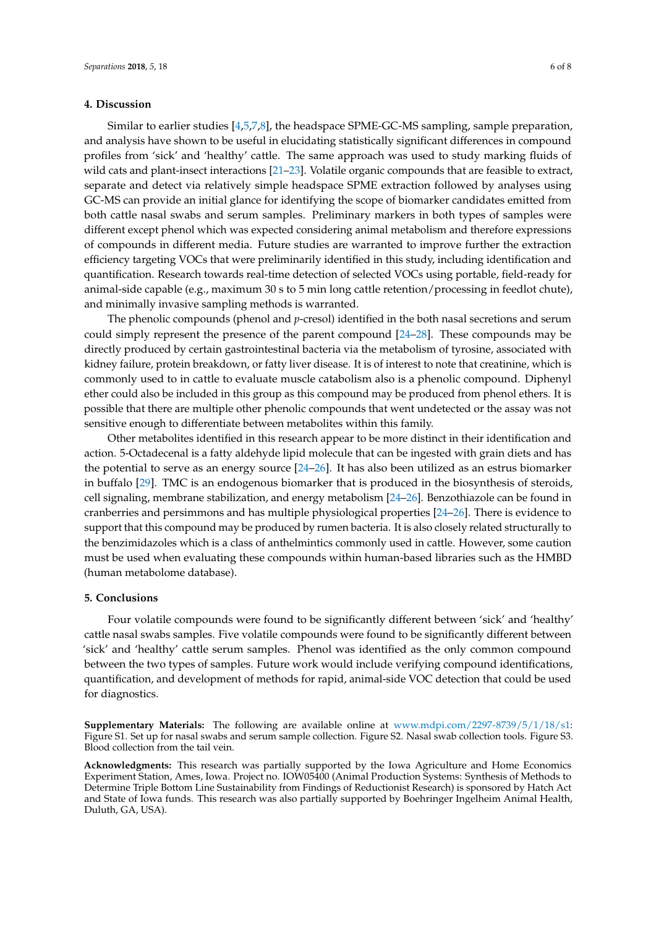## **4. Discussion**

Similar to earlier studies [\[4,](#page-6-2)[5,](#page-6-13)[7,](#page-6-5)[8\]](#page-6-3), the headspace SPME-GC-MS sampling, sample preparation, and analysis have shown to be useful in elucidating statistically significant differences in compound profiles from 'sick' and 'healthy' cattle. The same approach was used to study marking fluids of wild cats and plant-insect interactions [\[21](#page-7-2)[–23\]](#page-7-3). Volatile organic compounds that are feasible to extract, separate and detect via relatively simple headspace SPME extraction followed by analyses using GC-MS can provide an initial glance for identifying the scope of biomarker candidates emitted from both cattle nasal swabs and serum samples. Preliminary markers in both types of samples were different except phenol which was expected considering animal metabolism and therefore expressions of compounds in different media. Future studies are warranted to improve further the extraction efficiency targeting VOCs that were preliminarily identified in this study, including identification and quantification. Research towards real-time detection of selected VOCs using portable, field-ready for animal-side capable (e.g., maximum 30 s to 5 min long cattle retention/processing in feedlot chute), and minimally invasive sampling methods is warranted.

The phenolic compounds (phenol and *p*-cresol) identified in the both nasal secretions and serum could simply represent the presence of the parent compound [\[24–](#page-7-4)[28\]](#page-7-5). These compounds may be directly produced by certain gastrointestinal bacteria via the metabolism of tyrosine, associated with kidney failure, protein breakdown, or fatty liver disease. It is of interest to note that creatinine, which is commonly used to in cattle to evaluate muscle catabolism also is a phenolic compound. Diphenyl ether could also be included in this group as this compound may be produced from phenol ethers. It is possible that there are multiple other phenolic compounds that went undetected or the assay was not sensitive enough to differentiate between metabolites within this family.

Other metabolites identified in this research appear to be more distinct in their identification and action. 5-Octadecenal is a fatty aldehyde lipid molecule that can be ingested with grain diets and has the potential to serve as an energy source [\[24](#page-7-4)[–26\]](#page-7-6). It has also been utilized as an estrus biomarker in buffalo [\[29\]](#page-7-7). TMC is an endogenous biomarker that is produced in the biosynthesis of steroids, cell signaling, membrane stabilization, and energy metabolism [\[24–](#page-7-4)[26\]](#page-7-6). Benzothiazole can be found in cranberries and persimmons and has multiple physiological properties [\[24–](#page-7-4)[26\]](#page-7-6). There is evidence to support that this compound may be produced by rumen bacteria. It is also closely related structurally to the benzimidazoles which is a class of anthelmintics commonly used in cattle. However, some caution must be used when evaluating these compounds within human-based libraries such as the HMBD (human metabolome database).

## **5. Conclusions**

Four volatile compounds were found to be significantly different between 'sick' and 'healthy' cattle nasal swabs samples. Five volatile compounds were found to be significantly different between 'sick' and 'healthy' cattle serum samples. Phenol was identified as the only common compound between the two types of samples. Future work would include verifying compound identifications, quantification, and development of methods for rapid, animal-side VOC detection that could be used for diagnostics.

**Supplementary Materials:** The following are available online at [www.mdpi.com/2297-8739/5/1/18/s1:](www.mdpi.com/2297-8739/5/1/18/s1) Figure S1. Set up for nasal swabs and serum sample collection. Figure S2. Nasal swab collection tools. Figure S3. Blood collection from the tail vein.

**Acknowledgments:** This research was partially supported by the Iowa Agriculture and Home Economics Experiment Station, Ames, Iowa. Project no. IOW05400 (Animal Production Systems: Synthesis of Methods to Determine Triple Bottom Line Sustainability from Findings of Reductionist Research) is sponsored by Hatch Act and State of Iowa funds. This research was also partially supported by Boehringer Ingelheim Animal Health, Duluth, GA, USA).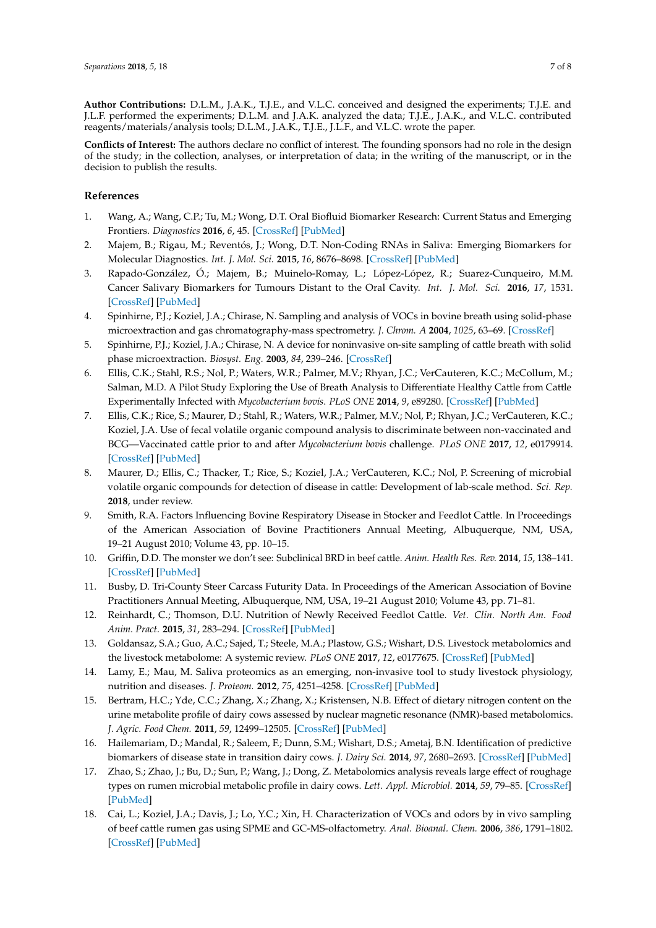**Author Contributions:** D.L.M., J.A.K., T.J.E., and V.L.C. conceived and designed the experiments; T.J.E. and J.L.F. performed the experiments; D.L.M. and J.A.K. analyzed the data; T.J.E., J.A.K., and V.L.C. contributed reagents/materials/analysis tools; D.L.M., J.A.K., T.J.E., J.L.F., and V.L.C. wrote the paper.

**Conflicts of Interest:** The authors declare no conflict of interest. The founding sponsors had no role in the design of the study; in the collection, analyses, or interpretation of data; in the writing of the manuscript, or in the decision to publish the results.

## **References**

- <span id="page-6-0"></span>1. Wang, A.; Wang, C.P.; Tu, M.; Wong, D.T. Oral Biofluid Biomarker Research: Current Status and Emerging Frontiers. *Diagnostics* **2016**, *6*, 45. [\[CrossRef\]](http://dx.doi.org/10.3390/diagnostics6040045) [\[PubMed\]](http://www.ncbi.nlm.nih.gov/pubmed/27999326)
- 2. Majem, B.; Rigau, M.; Reventós, J.; Wong, D.T. Non-Coding RNAs in Saliva: Emerging Biomarkers for Molecular Diagnostics. *Int. J. Mol. Sci.* **2015**, *16*, 8676–8698. [\[CrossRef\]](http://dx.doi.org/10.3390/ijms16048676) [\[PubMed\]](http://www.ncbi.nlm.nih.gov/pubmed/25898412)
- <span id="page-6-1"></span>3. Rapado-González, Ó.; Majem, B.; Muinelo-Romay, L.; López-López, R.; Suarez-Cunqueiro, M.M. Cancer Salivary Biomarkers for Tumours Distant to the Oral Cavity. *Int. J. Mol. Sci.* **2016**, *17*, 1531. [\[CrossRef\]](http://dx.doi.org/10.3390/ijms17091531) [\[PubMed\]](http://www.ncbi.nlm.nih.gov/pubmed/27626410)
- <span id="page-6-2"></span>4. Spinhirne, P.J.; Koziel, J.A.; Chirase, N. Sampling and analysis of VOCs in bovine breath using solid-phase microextraction and gas chromatography-mass spectrometry. *J. Chrom. A* **2004**, *1025*, 63–69. [\[CrossRef\]](http://dx.doi.org/10.1016/j.chroma.2003.08.062)
- <span id="page-6-13"></span>5. Spinhirne, P.J.; Koziel, J.A.; Chirase, N. A device for noninvasive on-site sampling of cattle breath with solid phase microextraction. *Biosyst. Eng.* **2003**, *84*, 239–246. [\[CrossRef\]](http://dx.doi.org/10.1016/S1537-5110(02)00240-4)
- <span id="page-6-4"></span>6. Ellis, C.K.; Stahl, R.S.; Nol, P.; Waters, W.R.; Palmer, M.V.; Rhyan, J.C.; VerCauteren, K.C.; McCollum, M.; Salman, M.D. A Pilot Study Exploring the Use of Breath Analysis to Differentiate Healthy Cattle from Cattle Experimentally Infected with *Mycobacterium bovis*. *PLoS ONE* **2014**, *9*, e89280. [\[CrossRef\]](http://dx.doi.org/10.1371/journal.pone.0089280) [\[PubMed\]](http://www.ncbi.nlm.nih.gov/pubmed/24586655)
- <span id="page-6-5"></span>7. Ellis, C.K.; Rice, S.; Maurer, D.; Stahl, R.; Waters, W.R.; Palmer, M.V.; Nol, P.; Rhyan, J.C.; VerCauteren, K.C.; Koziel, J.A. Use of fecal volatile organic compound analysis to discriminate between non-vaccinated and BCG—Vaccinated cattle prior to and after *Mycobacterium bovis* challenge. *PLoS ONE* **2017**, *12*, e0179914. [\[CrossRef\]](http://dx.doi.org/10.1371/journal.pone.0179914) [\[PubMed\]](http://www.ncbi.nlm.nih.gov/pubmed/28686691)
- <span id="page-6-3"></span>8. Maurer, D.; Ellis, C.; Thacker, T.; Rice, S.; Koziel, J.A.; VerCauteren, K.C.; Nol, P. Screening of microbial volatile organic compounds for detection of disease in cattle: Development of lab-scale method. *Sci. Rep.* **2018**, under review.
- <span id="page-6-6"></span>9. Smith, R.A. Factors Influencing Bovine Respiratory Disease in Stocker and Feedlot Cattle. In Proceedings of the American Association of Bovine Practitioners Annual Meeting, Albuquerque, NM, USA, 19–21 August 2010; Volume 43, pp. 10–15.
- <span id="page-6-7"></span>10. Griffin, D.D. The monster we don't see: Subclinical BRD in beef cattle. *Anim. Health Res. Rev.* **2014**, *15*, 138–141. [\[CrossRef\]](http://dx.doi.org/10.1017/S1466252314000255) [\[PubMed\]](http://www.ncbi.nlm.nih.gov/pubmed/25497500)
- <span id="page-6-8"></span>11. Busby, D. Tri-County Steer Carcass Futurity Data. In Proceedings of the American Association of Bovine Practitioners Annual Meeting, Albuquerque, NM, USA, 19–21 August 2010; Volume 43, pp. 71–81.
- <span id="page-6-9"></span>12. Reinhardt, C.; Thomson, D.U. Nutrition of Newly Received Feedlot Cattle. *Vet. Clin. North Am. Food Anim. Pract.* **2015**, *31*, 283–294. [\[CrossRef\]](http://dx.doi.org/10.1016/j.cvfa.2015.03.010) [\[PubMed\]](http://www.ncbi.nlm.nih.gov/pubmed/26139193)
- <span id="page-6-10"></span>13. Goldansaz, S.A.; Guo, A.C.; Sajed, T.; Steele, M.A.; Plastow, G.S.; Wishart, D.S. Livestock metabolomics and the livestock metabolome: A systemic review. *PLoS ONE* **2017**, *12*, e0177675. [\[CrossRef\]](http://dx.doi.org/10.1371/journal.pone.0177675) [\[PubMed\]](http://www.ncbi.nlm.nih.gov/pubmed/28531195)
- <span id="page-6-11"></span>14. Lamy, E.; Mau, M. Saliva proteomics as an emerging, non-invasive tool to study livestock physiology, nutrition and diseases. *J. Proteom.* **2012**, *75*, 4251–4258. [\[CrossRef\]](http://dx.doi.org/10.1016/j.jprot.2012.05.007) [\[PubMed\]](http://www.ncbi.nlm.nih.gov/pubmed/22583933)
- <span id="page-6-12"></span>15. Bertram, H.C.; Yde, C.C.; Zhang, X.; Zhang, X.; Kristensen, N.B. Effect of dietary nitrogen content on the urine metabolite profile of dairy cows assessed by nuclear magnetic resonance (NMR)-based metabolomics. *J. Agric. Food Chem.* **2011**, *59*, 12499–12505. [\[CrossRef\]](http://dx.doi.org/10.1021/jf204201f) [\[PubMed\]](http://www.ncbi.nlm.nih.gov/pubmed/22059599)
- 16. Hailemariam, D.; Mandal, R.; Saleem, F.; Dunn, S.M.; Wishart, D.S.; Ametaj, B.N. Identification of predictive biomarkers of disease state in transition dairy cows. *J. Dairy Sci.* **2014**, *97*, 2680–2693. [\[CrossRef\]](http://dx.doi.org/10.3168/jds.2013-6803) [\[PubMed\]](http://www.ncbi.nlm.nih.gov/pubmed/24630653)
- 17. Zhao, S.; Zhao, J.; Bu, D.; Sun, P.; Wang, J.; Dong, Z. Metabolomics analysis reveals large effect of roughage types on rumen microbial metabolic profile in dairy cows. *Lett. Appl. Microbiol.* **2014**, *59*, 79–85. [\[CrossRef\]](http://dx.doi.org/10.1111/lam.12247) [\[PubMed\]](http://www.ncbi.nlm.nih.gov/pubmed/24617926)
- 18. Cai, L.; Koziel, J.A.; Davis, J.; Lo, Y.C.; Xin, H. Characterization of VOCs and odors by in vivo sampling of beef cattle rumen gas using SPME and GC-MS-olfactometry. *Anal. Bioanal. Chem.* **2006**, *386*, 1791–1802. [\[CrossRef\]](http://dx.doi.org/10.1007/s00216-006-0799-1) [\[PubMed\]](http://www.ncbi.nlm.nih.gov/pubmed/17009001)